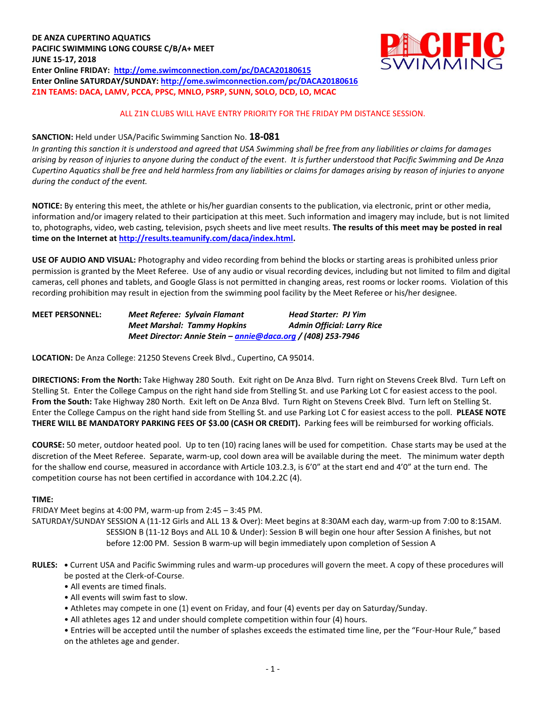

# ALL Z1N CLUBS WILL HAVE ENTRY PRIORITY FOR THE FRIDAY PM DISTANCE SESSION.

## **SANCTION:** Held under USA/Pacific Swimming Sanction No. **18-081**

*In granting this sanction it is understood and agreed that USA Swimming shall be free from any liabilities or claims for damages arising by reason of injuries to anyone during the conduct of the event. It is further understood that Pacific Swimming and De Anza Cupertino Aquatics shall be free and held harmless from any liabilities or claims for damages arising by reason of injuries to anyone during the conduct of the event.*

**NOTICE:** By entering this meet, the athlete or his/her guardian consents to the publication, via electronic, print or other media, information and/or imagery related to their participation at this meet. Such information and imagery may include, but is not limited to, photographs, video, web casting, television, psych sheets and live meet results. **The results of this meet may be posted in real time on the Internet a[t http://results.teamunify.com/daca/index.html.](http://results.teamunify.com/daca/index.html)**

**USE OF AUDIO AND VISUAL:** Photography and video recording from behind the blocks or starting areas is prohibited unless prior permission is granted by the Meet Referee. Use of any audio or visual recording devices, including but not limited to film and digital cameras, cell phones and tablets, and Google Glass is not permitted in changing areas, rest rooms or locker rooms. Violation of this recording prohibition may result in ejection from the swimming pool facility by the Meet Referee or his/her designee.

| <b>MEET PERSONNEL:</b> | Meet Referee: Sylvain Flamant                                | <b>Head Starter: PJ Yim</b>       |
|------------------------|--------------------------------------------------------------|-----------------------------------|
|                        | <b>Meet Marshal: Tammy Hopkins</b>                           | <b>Admin Official: Larry Rice</b> |
|                        | Meet Director: Annie Stein – annie@daca.org / (408) 253-7946 |                                   |

**LOCATION:** De Anza College: 21250 Stevens Creek Blvd., Cupertino, CA 95014.

**DIRECTIONS: From the North:** Take Highway 280 South. Exit right on De Anza Blvd. Turn right on Stevens Creek Blvd. Turn Left on Stelling St. Enter the College Campus on the right hand side from Stelling St. and use Parking Lot C for easiest access to the pool. **From the South:** Take Highway 280 North. Exit left on De Anza Blvd. Turn Right on Stevens Creek Blvd. Turn left on Stelling St. Enter the College Campus on the right hand side from Stelling St. and use Parking Lot C for easiest access to the poll. **PLEASE NOTE THERE WILL BE MANDATORY PARKING FEES OF \$3.00 (CASH OR CREDIT).** Parking fees will be reimbursed for working officials.

**COURSE:** 50 meter, outdoor heated pool. Up to ten (10) racing lanes will be used for competition. Chase starts may be used at the discretion of the Meet Referee. Separate, warm-up, cool down area will be available during the meet. The minimum water depth for the shallow end course, measured in accordance with Article 103.2.3, is 6'0" at the start end and 4'0" at the turn end. The competition course has not been certified in accordance with 104.2.2C (4).

# **TIME:**

FRIDAY Meet begins at 4:00 PM, warm-up from 2:45 – 3:45 PM.

SATURDAY/SUNDAY SESSION A (11-12 Girls and ALL 13 & Over): Meet begins at 8:30AM each day, warm-up from 7:00 to 8:15AM. SESSION B (11-12 Boys and ALL 10 & Under): Session B will begin one hour after Session A finishes, but not before 12:00 PM. Session B warm-up will begin immediately upon completion of Session A

- **RULES: •** Current USA and Pacific Swimming rules and warm-up procedures will govern the meet. A copy of these procedures will be posted at the Clerk-of-Course.
	- All events are timed finals.
	- All events will swim fast to slow.
	- Athletes may compete in one (1) event on Friday, and four (4) events per day on Saturday/Sunday.
	- All athletes ages 12 and under should complete competition within four (4) hours.

• Entries will be accepted until the number of splashes exceeds the estimated time line, per the "Four-Hour Rule," based on the athletes age and gender.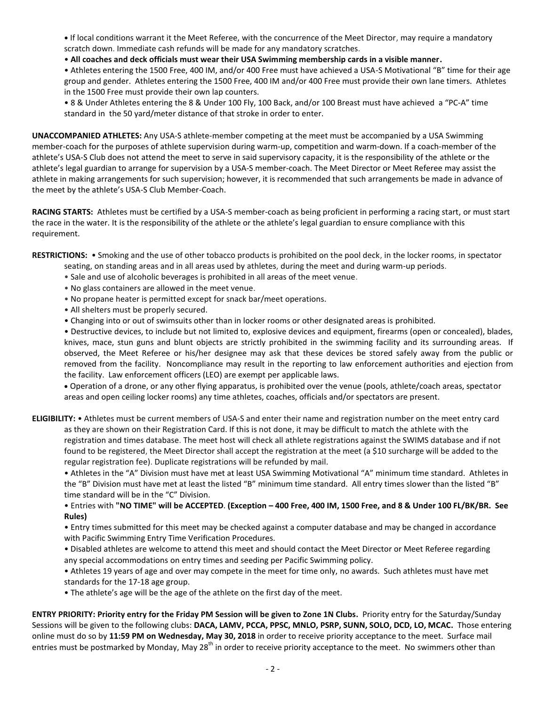**•** If local conditions warrant it the Meet Referee, with the concurrence of the Meet Director, may require a mandatory scratch down. Immediate cash refunds will be made for any mandatory scratches.

## • **All coaches and deck officials must wear their USA Swimming membership cards in a visible manner.**

• Athletes entering the 1500 Free, 400 IM, and/or 400 Free must have achieved a USA-S Motivational "B" time for their age group and gender. Athletes entering the 1500 Free, 400 IM and/or 400 Free must provide their own lane timers. Athletes in the 1500 Free must provide their own lap counters.

• 8 & Under Athletes entering the 8 & Under 100 Fly, 100 Back, and/or 100 Breast must have achieved a "PC-A" time standard in the 50 yard/meter distance of that stroke in order to enter.

**UNACCOMPANIED ATHLETES:** Any USA-S athlete-member competing at the meet must be accompanied by a USA Swimming member-coach for the purposes of athlete supervision during warm-up, competition and warm-down. If a coach-member of the athlete's USA-S Club does not attend the meet to serve in said supervisory capacity, it is the responsibility of the athlete or the athlete's legal guardian to arrange for supervision by a USA-S member-coach. The Meet Director or Meet Referee may assist the athlete in making arrangements for such supervision; however, it is recommended that such arrangements be made in advance of the meet by the athlete's USA-S Club Member-Coach.

**RACING STARTS:** Athletes must be certified by a USA-S member-coach as being proficient in performing a racing start, or must start the race in the water. It is the responsibility of the athlete or the athlete's legal guardian to ensure compliance with this requirement.

**RESTRICTIONS:** • Smoking and the use of other tobacco products is prohibited on the pool deck, in the locker rooms, in spectator

- seating, on standing areas and in all areas used by athletes, during the meet and during warm-up periods.
- Sale and use of alcoholic beverages is prohibited in all areas of the meet venue.
- No glass containers are allowed in the meet venue.
- No propane heater is permitted except for snack bar/meet operations.
- All shelters must be properly secured.
- Changing into or out of swimsuits other than in locker rooms or other designated areas is prohibited.
- Destructive devices, to include but not limited to, explosive devices and equipment, firearms (open or concealed), blades, knives, mace, stun guns and blunt objects are strictly prohibited in the swimming facility and its surrounding areas. If observed, the Meet Referee or his/her designee may ask that these devices be stored safely away from the public or removed from the facility. Noncompliance may result in the reporting to law enforcement authorities and ejection from the facility. Law enforcement officers (LEO) are exempt per applicable laws.

 Operation of a drone, or any other flying apparatus, is prohibited over the venue (pools, athlete/coach areas, spectator areas and open ceiling locker rooms) any time athletes, coaches, officials and/or spectators are present.

**ELIGIBILITY:** • Athletes must be current members of USA-S and enter their name and registration number on the meet entry card as they are shown on their Registration Card. If this is not done, it may be difficult to match the athlete with the registration and times database. The meet host will check all athlete registrations against the SWIMS database and if not found to be registered, the Meet Director shall accept the registration at the meet (a \$10 surcharge will be added to the regular registration fee). Duplicate registrations will be refunded by mail.

• Athletes in the "A" Division must have met at least USA Swimming Motivational "A" minimum time standard. Athletes in the "B" Division must have met at least the listed "B" minimum time standard. All entry times slower than the listed "B" time standard will be in the "C" Division.

• Entries with **"NO TIME" will be ACCEPTED**. **(Exception – 400 Free, 400 IM, 1500 Free, and 8 & Under 100 FL/BK/BR. See Rules)**

• Entry times submitted for this meet may be checked against a computer database and may be changed in accordance with Pacific Swimming Entry Time Verification Procedures.

• Disabled athletes are welcome to attend this meet and should contact the Meet Director or Meet Referee regarding any special accommodations on entry times and seeding per Pacific Swimming policy.

• Athletes 19 years of age and over may compete in the meet for time only, no awards. Such athletes must have met standards for the 17-18 age group.

• The athlete's age will be the age of the athlete on the first day of the meet.

**ENTRY PRIORITY: Priority entry for the Friday PM Session will be given to Zone 1N Clubs.** Priority entry for the Saturday/Sunday Sessions will be given to the following clubs: **DACA, LAMV, PCCA, PPSC, MNLO, PSRP, SUNN, SOLO, DCD, LO, MCAC.** Those entering online must do so by **11:59 PM on Wednesday, May 30, 2018** in order to receive priority acceptance to the meet. Surface mail entries must be postmarked by Monday, May 28<sup>th</sup> in order to receive priority acceptance to the meet. No swimmers other than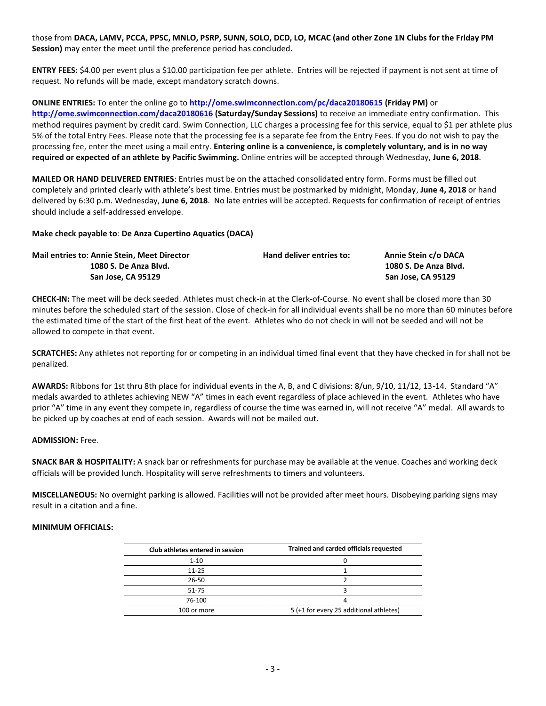those from **DACA, LAMV, PCCA, PPSC, MNLO, PSRP, SUNN, SOLO, DCD, LO, MCAC (and other Zone 1N Clubs for the Friday PM Session)** may enter the meet until the preference period has concluded.

**ENTRY FEES:** \$4.00 per event plus a \$10.00 participation fee per athlete. Entries will be rejected if payment is not sent at time of request. No refunds will be made, except mandatory scratch downs.

**ONLINE ENTRIES:** To enter the online go to **<http://ome.swimconnection.com/pc/daca20180615> (Friday PM)** or **<http://ome.swimconnection.com/daca20180616> (Saturday/Sunday Sessions)** to receive an immediate entry confirmation. This method requires payment by credit card. Swim Connection, LLC charges a processing fee for this service, equal to \$1 per athlete plus 5% of the total Entry Fees. Please note that the processing fee is a separate fee from the Entry Fees. If you do not wish to pay the processing fee, enter the meet using a mail entry. **Entering online is a convenience, is completely voluntary, and is in no way required or expected of an athlete by Pacific Swimming.** Online entries will be accepted through Wednesday, **June 6, 2018**.

**MAILED OR HAND DELIVERED ENTRIES**: Entries must be on the attached consolidated entry form. Forms must be filled out completely and printed clearly with athlete's best time. Entries must be postmarked by midnight, Monday, **June 4, 2018** or hand delivered by 6:30 p.m. Wednesday, **June 6, 2018**. No late entries will be accepted. Requests for confirmation of receipt of entries should include a self-addressed envelope.

# **Make check payable to**: **De Anza Cupertino Aquatics (DACA)**

| <b>Mail entries to: Annie Stein, Meet Director</b> | Hand deliver entries to: | Annie Stein c/o DACA  |
|----------------------------------------------------|--------------------------|-----------------------|
| 1080 S. De Anza Blyd.                              |                          | 1080 S. De Anza Blvd. |
| San Jose, CA 95129                                 |                          | San Jose, CA 95129    |

**CHECK-IN:** The meet will be deck seeded. Athletes must check-in at the Clerk-of-Course. No event shall be closed more than 30 minutes before the scheduled start of the session. Close of check-in for all individual events shall be no more than 60 minutes before the estimated time of the start of the first heat of the event. Athletes who do not check in will not be seeded and will not be allowed to compete in that event.

**SCRATCHES:** Any athletes not reporting for or competing in an individual timed final event that they have checked in for shall not be penalized.

**AWARDS:** Ribbons for 1st thru 8th place for individual events in the A, B, and C divisions: 8/un, 9/10, 11/12, 13-14. Standard "A" medals awarded to athletes achieving NEW "A" times in each event regardless of place achieved in the event. Athletes who have prior "A" time in any event they compete in, regardless of course the time was earned in, will not receive "A" medal. All awards to be picked up by coaches at end of each session. Awards will not be mailed out.

# **ADMISSION:** Free.

**SNACK BAR & HOSPITALITY:** A snack bar or refreshments for purchase may be available at the venue. Coaches and working deck officials will be provided lunch. Hospitality will serve refreshments to timers and volunteers.

**MISCELLANEOUS:** No overnight parking is allowed. Facilities will not be provided after meet hours. Disobeying parking signs may result in a citation and a fine.

# **MINIMUM OFFICIALS:**

| Club athletes entered in session | Trained and carded officials requested  |
|----------------------------------|-----------------------------------------|
| $1 - 10$                         |                                         |
| $11 - 25$                        |                                         |
| 26-50                            |                                         |
| 51-75                            |                                         |
| 76-100                           |                                         |
| 100 or more                      | 5 (+1 for every 25 additional athletes) |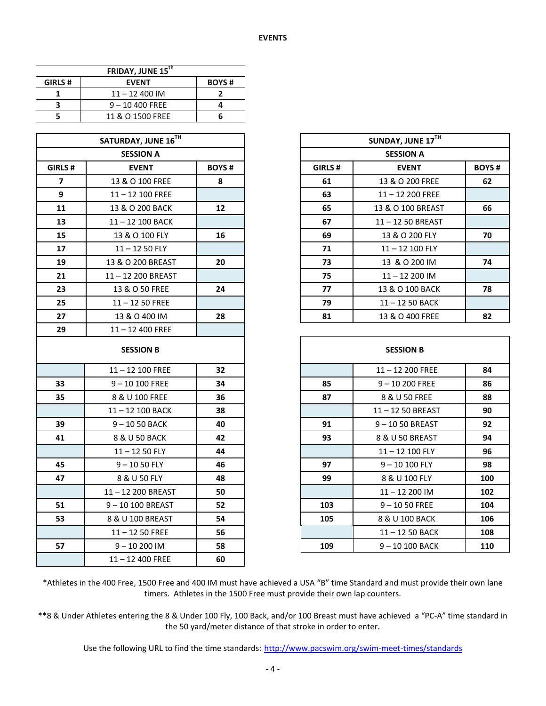| FRIDAY, JUNE 15 <sup>th</sup> |                   |              |  |  |  |  |  |
|-------------------------------|-------------------|--------------|--|--|--|--|--|
| GIRLS#                        | <b>EVENT</b>      | <b>BOYS#</b> |  |  |  |  |  |
|                               | $11 - 12400$ IM   |              |  |  |  |  |  |
|                               | $9 - 10$ 400 FREE |              |  |  |  |  |  |
|                               | 11 & O 1500 FREE  |              |  |  |  |  |  |

|                         | SATURDAY, JUNE 16TH |              |        | SUNDAY, JUNE 17TH |
|-------------------------|---------------------|--------------|--------|-------------------|
|                         | <b>SESSION A</b>    |              |        | <b>SESSION A</b>  |
| GIRLS#                  | <b>EVENT</b>        | <b>BOYS#</b> | GIRLS# | <b>EVENT</b>      |
| $\overline{\mathbf{z}}$ | 13 & O 100 FREE     | 8            | 61     | 13 & O 200 FREE   |
| 9                       | 11-12 100 FREE      |              | 63     | 11-12 200 FREE    |
| 11                      | 13 & O 200 BACK     | 12           | 65     | 13 & O 100 BREAST |
| 13                      | 11-12 100 BACK      |              | 67     | 11-12 50 BREAST   |
| 15                      | 13 & O 100 FLY      | 16           | 69     | 13 & O 200 FLY    |
| 17                      | $11 - 1250$ FLY     |              | 71     | 11-12 100 FLY     |
| 19                      | 13 & O 200 BREAST   | 20           | 73     | 13 & O 200 IM     |
| 21                      | 11-12 200 BREAST    |              | 75     | $11 - 12200$ IM   |
| 23                      | 13 & O 50 FREE      | 24           | 77     | 13 & O 100 BACK   |
| 25                      | $11 - 1250$ FREE    |              | 79     | 11-12 50 BACK     |
| 27                      | 13 & O 400 IM       | 28           | 81     | 13 & O 400 FREE   |
| 29                      | 11-12 400 FREE      |              |        |                   |
|                         | <b>SESSION B</b>    |              |        | <b>SESSION B</b>  |
|                         | $11 - 12$ 100 FREE  | 32           |        | $11 - 12200$ FREE |
| 33                      | $9 - 10100$ FREE    | 34           | 85     | $9 - 10200$ FREE  |
| 35                      | 8 & U 100 FREE      | 36           | 87     | 8 & U 50 FREE     |
|                         | 11-12 100 BACK      | 38           |        | 11-12 50 BREAST   |
| 39                      | 9-1050 BACK         | 40           | 91     | 9-1050 BREAST     |
| 41                      | 8 & U 50 BACK       | 42           | 93     | 8 & U 50 BREAST   |
|                         | $11 - 1250$ FLY     | 44           |        | 11-12 100 FLY     |
| 45                      | $9 - 1050$ FLY      | 46           | 97     | $9 - 10100$ FLY   |
| 47                      | 8 & U 50 FLY        | 48           | 99     | 8 & U 100 FLY     |
|                         | 11-12 200 BREAST    | 50           |        | 11-12 200 IM      |
| 51                      | 9-10 100 BREAST     | 52           | 103    | $9 - 1050$ FREE   |
| 53                      | 8 & U 100 BREAST    | 54           | 105    | 8 & U 100 BACK    |
|                         | $11 - 1250$ FREE    | 56           |        | 11-12 50 BACK     |
| 57                      | $9 - 10200$ IM      | 58           | 109    | 9-10 100 BACK     |
|                         | $11 - 12$ 400 FREE  | 60           |        |                   |

|         | SATURDAY, JUNE 16TH |              | SUNDAY, JUNE 17TH                      |                    |    |  |  |  |
|---------|---------------------|--------------|----------------------------------------|--------------------|----|--|--|--|
|         | <b>SESSION A</b>    |              |                                        | <b>SESSION A</b>   |    |  |  |  |
| GIRLS # | <b>EVENT</b>        | <b>BOYS#</b> | <b>BOYS#</b><br>GIRLS#<br><b>EVENT</b> |                    |    |  |  |  |
| 7       | 13 & O 100 FREE     | 8            | 61                                     | 13 & O 200 FREE    | 62 |  |  |  |
| 9       | $11 - 12$ 100 FREE  |              | 63                                     | $11 - 12$ 200 FREE |    |  |  |  |
| 11      | 13 & O 200 BACK     | 12           | 65                                     | 13 & O 100 BREAST  | 66 |  |  |  |
| 13      | 11-12 100 BACK      |              | 67                                     | 11-1250 BREAST     |    |  |  |  |
| 15      | 13 & O 100 FLY      | 16           | 69                                     | 13 & O 200 FLY     | 70 |  |  |  |
| 17      | $11 - 1250$ FLY     |              | 71                                     | $11 - 12$ 100 FLY  |    |  |  |  |
| 19      | 13 & O 200 BREAST   | 20           | 73                                     | 13 & O 200 IM      | 74 |  |  |  |
| 21      | 11-12 200 BREAST    |              | 75                                     | $11 - 12200$ IM    |    |  |  |  |
| 23      | 13 & O 50 FREE      | 24           | 77                                     | 13 & O 100 BACK    | 78 |  |  |  |
| 25      | $11 - 1250$ FREE    |              | 79                                     | $11 - 1250$ BACK   |    |  |  |  |
| 27      | 13 & O 400 IM       | 28           | 81                                     | 13 & O 400 FREE    | 82 |  |  |  |

|    | <b>SESSION B</b>   |    |     | <b>SESSION B</b>   |     |
|----|--------------------|----|-----|--------------------|-----|
|    | $11 - 12$ 100 FREE | 32 |     | $11 - 12$ 200 FREE | 84  |
| 33 | $9 - 10 100$ FREE  | 34 | 85  | $9 - 10200$ FREE   | 86  |
| 35 | 8 & U 100 FREE     | 36 | 87  | 8 & U 50 FREE      | 88  |
|    | 11-12 100 BACK     | 38 |     | 11-12 50 BREAST    | 90  |
| 39 | $9 - 1050$ BACK    | 40 | 91  | 9-1050 BREAST      | 92  |
| 41 | 8 & U 50 BACK      | 42 | 93  | 8 & U 50 BREAST    | 94  |
|    | $11 - 1250$ FLY    | 44 |     | 11-12 100 FLY      | 96  |
| 45 | $9 - 1050$ FLY     | 46 | 97  | $9 - 10100$ FLY    | 98  |
| 47 | 8 & U 50 FLY       | 48 | 99  | 8 & U 100 FLY      | 100 |
|    | 11-12 200 BREAST   | 50 |     | $11 - 12200$ IM    | 102 |
| 51 | 9-10 100 BREAST    | 52 | 103 | $9 - 1050$ FREE    | 104 |
| 53 | 8 & U 100 BREAST   | 54 | 105 | 8 & U 100 BACK     | 106 |
|    | $11 - 1250$ FREE   | 56 |     | $11 - 1250$ BACK   | 108 |
| 57 | $9 - 10200$ IM     | 58 | 109 | $9 - 10100$ BACK   | 110 |
|    |                    |    |     |                    |     |

\*Athletes in the 400 Free, 1500 Free and 400 IM must have achieved a USA "B" time Standard and must provide their own lane timers. Athletes in the 1500 Free must provide their own lap counters.

\*\*8 & Under Athletes entering the 8 & Under 100 Fly, 100 Back, and/or 100 Breast must have achieved a "PC-A" time standard in the 50 yard/meter distance of that stroke in order to enter.

Use the following URL to find the time standards: <http://www.pacswim.org/swim-meet-times/standards>